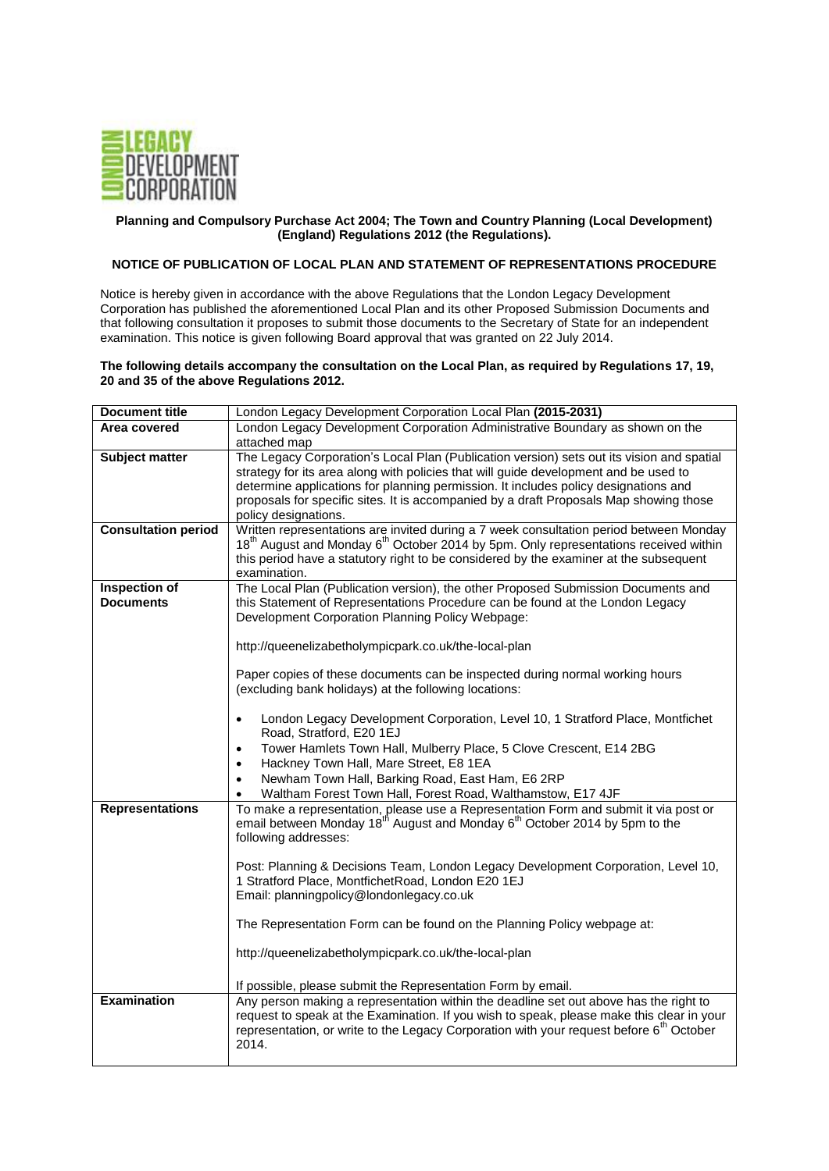

## **Planning and Compulsory Purchase Act 2004; The Town and Country Planning (Local Development) (England) Regulations 2012 (the Regulations).**

## **NOTICE OF PUBLICATION OF LOCAL PLAN AND STATEMENT OF REPRESENTATIONS PROCEDURE**

Notice is hereby given in accordance with the above Regulations that the London Legacy Development Corporation has published the aforementioned Local Plan and its other Proposed Submission Documents and that following consultation it proposes to submit those documents to the Secretary of State for an independent examination. This notice is given following Board approval that was granted on 22 July 2014.

## **The following details accompany the consultation on the Local Plan, as required by Regulations 17, 19, 20 and 35 of the above Regulations 2012.**

| <b>Document title</b>      | London Legacy Development Corporation Local Plan (2015-2031)                                                                          |
|----------------------------|---------------------------------------------------------------------------------------------------------------------------------------|
| Area covered               | London Legacy Development Corporation Administrative Boundary as shown on the                                                         |
|                            | attached map                                                                                                                          |
| <b>Subject matter</b>      | The Legacy Corporation's Local Plan (Publication version) sets out its vision and spatial                                             |
|                            | strategy for its area along with policies that will guide development and be used to                                                  |
|                            | determine applications for planning permission. It includes policy designations and                                                   |
|                            | proposals for specific sites. It is accompanied by a draft Proposals Map showing those                                                |
|                            | policy designations.                                                                                                                  |
| <b>Consultation period</b> | Written representations are invited during a 7 week consultation period between Monday                                                |
|                            | 18 <sup>th</sup> August and Monday 6 <sup>th</sup> October 2014 by 5pm. Only representations received within                          |
|                            | this period have a statutory right to be considered by the examiner at the subsequent                                                 |
|                            | examination.                                                                                                                          |
| Inspection of              | The Local Plan (Publication version), the other Proposed Submission Documents and                                                     |
| <b>Documents</b>           | this Statement of Representations Procedure can be found at the London Legacy                                                         |
|                            | Development Corporation Planning Policy Webpage:                                                                                      |
|                            |                                                                                                                                       |
|                            | http://queenelizabetholympicpark.co.uk/the-local-plan                                                                                 |
|                            |                                                                                                                                       |
|                            | Paper copies of these documents can be inspected during normal working hours<br>(excluding bank holidays) at the following locations: |
|                            |                                                                                                                                       |
|                            | London Legacy Development Corporation, Level 10, 1 Stratford Place, Montfichet                                                        |
|                            | Road, Stratford, E20 1EJ                                                                                                              |
|                            | Tower Hamlets Town Hall, Mulberry Place, 5 Clove Crescent, E14 2BG<br>$\bullet$                                                       |
|                            | Hackney Town Hall, Mare Street, E8 1EA<br>$\bullet$                                                                                   |
|                            | Newham Town Hall, Barking Road, East Ham, E6 2RP<br>$\bullet$                                                                         |
|                            | Waltham Forest Town Hall, Forest Road, Walthamstow, E17 4JF<br>$\bullet$                                                              |
| <b>Representations</b>     | To make a representation, please use a Representation Form and submit it via post or                                                  |
|                            | email between Monday 18 <sup>th</sup> August and Monday 6 <sup>th</sup> October 2014 by 5pm to the                                    |
|                            | following addresses:                                                                                                                  |
|                            |                                                                                                                                       |
|                            | Post: Planning & Decisions Team, London Legacy Development Corporation, Level 10,                                                     |
|                            | 1 Stratford Place, MontfichetRoad, London E20 1EJ                                                                                     |
|                            | Email: planningpolicy@londonlegacy.co.uk                                                                                              |
|                            |                                                                                                                                       |
|                            | The Representation Form can be found on the Planning Policy webpage at:                                                               |
|                            |                                                                                                                                       |
|                            | http://queenelizabetholympicpark.co.uk/the-local-plan                                                                                 |
|                            |                                                                                                                                       |
|                            | If possible, please submit the Representation Form by email.                                                                          |
| <b>Examination</b>         | Any person making a representation within the deadline set out above has the right to                                                 |
|                            | request to speak at the Examination. If you wish to speak, please make this clear in your                                             |
|                            | representation, or write to the Legacy Corporation with your request before 6 <sup>th</sup> October                                   |
|                            | 2014.                                                                                                                                 |
|                            |                                                                                                                                       |